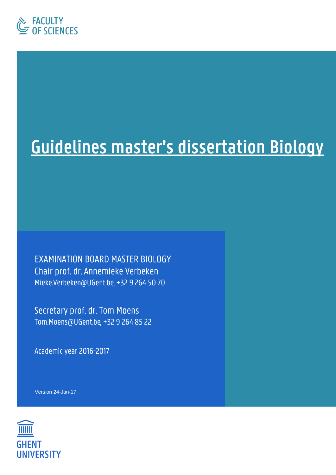

# Guidelines master's dissertation Biology

**EXAMINATION BOARD MASTER BIOLOGY** Chair prof. dr. Annemieke Verbeken Mieke.Verbeken@UGent.be, +32 9 264 50 70

Secretary prof. dr. Tom Moens Tom.Moens@UGent.be, +32 9 264 85 22

Academic year 2016-2017

Version 24-Jan-17

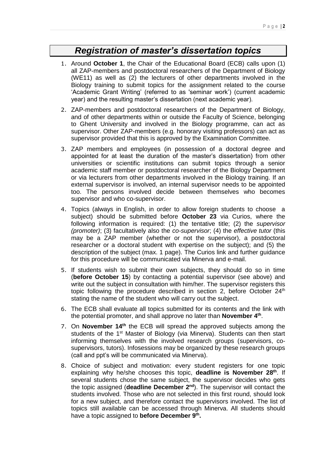## *Registration of master's dissertation topics*

- 1. Around **October 1**, the Chair of the Educational Board (ECB) calls upon (1) all ZAP-members and postdoctoral researchers of the Department of Biology (WE11) as well as (2) the lecturers of other departments involved in the Biology training to submit topics for the assignment related to the course 'Academic Grant Writing' (referred to as 'seminar work') (current academic year) and the resulting master's dissertation (next academic year).
- <span id="page-1-0"></span>2. ZAP-members and postdoctoral researchers of the Department of Biology, and of other departments within or outside the Faculty of Science, belonging to Ghent University and involved in the Biology programme, can act as supervisor. Other ZAP-members (e.g. honorary visiting professors) can act as supervisor provided that this is approved by the Examination Committee.
- 3. ZAP members and employees (in possession of a doctoral degree and appointed for at least the duration of the master's dissertation) from other universities or scientific institutions can submit topics through a senior academic staff member or postdoctoral researcher of the Biology Department or via lecturers from other departments involved in the Biology training. If an external supervisor is involved, an internal supervisor needs to be appointed too. The persons involved decide between themselves who becomes supervisor and who co-supervisor.
- 4. Topics (always in English, in order to allow foreign students to choose a subject) should be submitted before **October 23** via Curios, where the following information is required: (1) the tentative title; (2) the *supervisor (promoter)*; (3) facultatively also the *co-supervisor*; (4) the *effective tutor* (this may be a ZAP member (whether or not the supervisor), a postdoctoral researcher or a doctoral student with expertise on the subject); and (5) the description of the subject (max. 1 page). The Curios link and further guidance for this procedure will be communicated via Minerva and e-mail.
- 5. If students wish to submit their own subjects, they should do so in time (**before October 15**) by contacting a potential supervisor (see above) and write out the subject in consultation with him/her. The supervisor registers this topic following the procedure described in section [2,](#page-1-0) before October  $24<sup>th</sup>$ stating the name of the student who will carry out the subject.
- 6. The ECB shall evaluate all topics submitted for its contents and the link with the potential promoter, and shall approve no later than **November 4 th** .
- 7. On **November 14<sup>th</sup>** the ECB will spread the approved subjects among the students of the 1<sup>st</sup> Master of Biology (via Minerva). Students can then start informing themselves with the involved research groups (supervisors, cosupervisors, tutors). Infosessions may be organized by these research groups (call and ppt's will be communicated via Minerva).
- 8. Choice of subject and motivation: every student registers for one topic explaining why he/she chooses this topic, deadline is November 28<sup>th</sup>. If several students chose the same subject, the supervisor decides who gets the topic assigned (**deadline December 2 nd**). The supervisor will contact the students involved. Those who are not selected in this first round, should look for a new subject, and therefore contact the supervisors involved. The list of topics still available can be accessed through Minerva. All students should have a topic assigned to **before December 9 th .**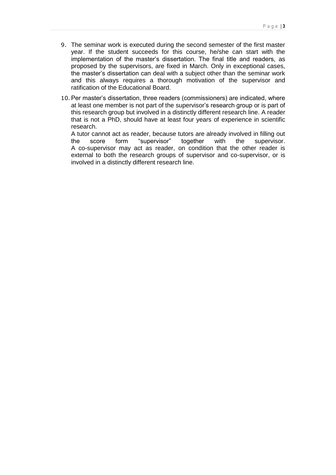- 9. The seminar work is executed during the second semester of the first master year. If the student succeeds for this course, he/she can start with the implementation of the master's dissertation. The final title and readers, as proposed by the supervisors, are fixed in March. Only in exceptional cases, the master's dissertation can deal with a subject other than the seminar work and this always requires a thorough motivation of the supervisor and ratification of the Educational Board.
- 10.Per master's dissertation, three readers (commissioners) are indicated, where at least one member is not part of the supervisor's research group or is part of this research group but involved in a distinctly different research line. A reader that is not a PhD, should have at least four years of experience in scientific research.

A tutor cannot act as reader, because tutors are already involved in filling out the score form "supervisor" together with the supervisor. A co-supervisor may act as reader, on condition that the other reader is external to both the research groups of supervisor and co-supervisor, or is involved in a distinctly different research line.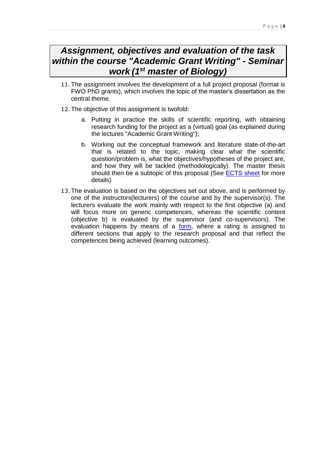## *Assignment, objectives and evaluation of the task within the course "Academic Grant Writing" - Seminar work (1st master of Biology)*

- 11.The assignment involves the development of a full project proposal (format is FWO PhD grants), which involves the topic of the master's dissertation as the central theme.
- 12.The objective of this assignment is twofold:
	- a. Putting in practice the skills of scientific reporting, with obtaining research funding for the project as a (virtual) goal (as explained during the lectures "Academic Grant Writing");
	- b. Working out the conceptual framework and literature state-of-the-art that is related to the topic, making clear what the scientific question/problem is, what the objectives/hypotheses of the project are, and how they will be tackled (methodologically). The master thesis should then be a subtopic of this proposal (See [ECTS sheet](http://studiegids.ugent.be/2016/EN/studiefiches/C003302.pdf) for more details)
- 13.The evaluation is based on the objectives set out above, and is performed by one of the instructors(lecturers) of the course and by the supervisor(s). The lecturers evaluate the work mainly with respect to the first objective (a) and will focus more on generic competences, whereas the scientific content (objective b) is evaluated by the supervisor (and co-supervisors). The evaluation happens by means of a [form,](https://edit.ugent.be/we/biology/nl/onderwijs/bamaproeven/2016-2017/bama-interne-info/evaluatieform-seminariewerk.docx) where a rating is assigned to different sections that apply to the research proposal and that reflect the competences being achieved (learning outcomes).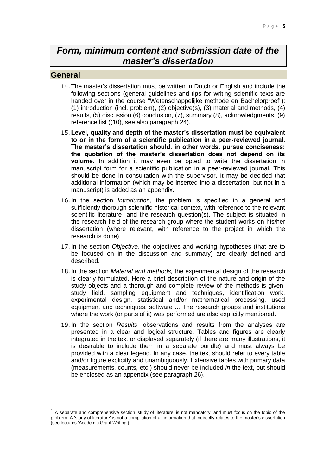## *Form, minimum content and submission date of the master's dissertation*

#### **General**

<u>.</u>

- 14.The master's dissertation must be written in Dutch or English and include the following sections (general guidelines and tips for writing scientific texts are handed over in the course "Wetenschappelijke methode en Bachelorproef"): (1) introduction (incl. problem), (2) objective(s), (3) material and methods, (4) results, (5) discussion (6) conclusion, (7), summary (8), acknowledgments, (9) reference list ((10), see also paragraph [24\)](#page-5-0).
- 15.**Level, quality and depth of the master's dissertation must be equivalent to or in the form of a scientific publication in a peer-reviewed journal. The master's dissertation should, in other words, pursue conciseness: the quotation of the master's dissertation does not depend on its volume**. In addition it may even be opted to write the dissertation in manuscript form for a scientific publication in a peer-reviewed journal. This should be done in consultation with the supervisor. It may be decided that additional information (which may be inserted into a dissertation, but not in a manuscript) is added as an appendix.
- 16.In the section *Introduction*, the problem is specified in a general and sufficiently thorough scientific-historical context, with reference to the relevant scientific literature<sup>1</sup> and the research question(s). The subject is situated in the research field of the research group where the student works on his/her dissertation (where relevant, with reference to the project in which the research is done).
- 17.In the section *Objective,* the objectives and working hypotheses (that are to be focused on in the discussion and summary) are clearly defined and described.
- 18.In the section *Material and methods,* the experimental design of the research is clearly formulated. Here a brief description of the nature and origin of the study objects ánd a thorough and complete review of the methods is given: study field, sampling equipment and techniques, identification work, experimental design, statistical and/or mathematical processing, used equipment and techniques, software ... The research groups and institutions where the work (or parts of it) was performed are also explicitly mentioned.
- 19.In the section *Results*, observations and results from the analyses are presented in a clear and logical structure. Tables and figures are clearly integrated in the text or displayed separately (if there are many illustrations, it is desirable to include them in a separate bundle) and must always be provided with a clear legend. In any case, the text should refer to every table and/or figure explicitly and unambiguously. Extensive tables with primary data (measurements, counts, etc.) should never be included *in* the text, but should be enclosed as an appendix (see paragraph [26\)](#page-7-0).

<sup>&</sup>lt;sup>1</sup> A separate and comprehensive section 'study of literature' is not mandatory, and must focus on the topic of the problem. A 'study of literature' is not a compilation of all information that indirectly relates to the master's dissertation (see lectures 'Academic Grant Writing').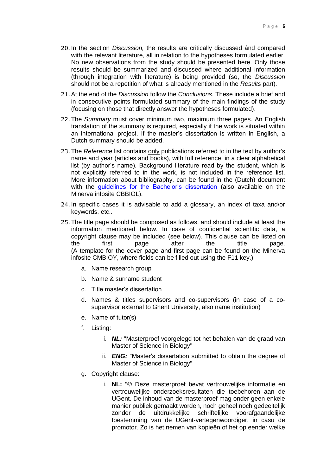- 20.In the section *Discussion,* the results are critically discussed ánd compared with the relevant literature, all in relation to the hypotheses formulated earlier. No new observations from the study should be presented here. Only those results should be summarized and discussed where additional information (through integration with literature) is being provided (so, the *Discussion* should not be a repetition of what is already mentioned in the *Results* part).
- 21.At the end of the *Discussion* follow the *Conclusions*. These include a brief and in consecutive points formulated summary of the main findings of the study (focusing on those that directly answer the hypotheses formulated).
- 22.The *Summary* must cover minimum two, maximum three pages. An English translation of the summary is required, especially if the work is situated within an international project. If the master's dissertation is written in English, a Dutch summary should be added.
- 23.The *Reference* list contains only publications referred to in the text by author's name and year (articles and books), with full reference, in a clear alphabetical list (by author's name). Background literature read by the student, which is not explicitly referred to in the work, is not included in the reference list. More information about bibliography, can be found in the (Dutch) document with the *guidelines* for the Bachelor's dissertation (also available on the Minerva infosite CBBIOL).
- <span id="page-5-0"></span>24.In specific cases it is advisable to add a glossary, an index of taxa and/or keywords, etc..
- 25.The title page should be composed as follows, and should include at least the information mentioned below. In case of confidential scientific data, a copyright clause may be included (see below). This clause can be listed on the first page after the title page. (A template for the cover page and first page can be found on the Minerva infosite CMBIOY, where fields can be filled out using the F11 key.)
	- a. Name research group
	- b. Name & surname student
	- c. Title master's dissertation
	- d. Names & titles supervisors and co-supervisors (in case of a cosupervisor external to Ghent University, also name institution)
	- e. Name of tutor(s)
	- f. Listing:
		- i. *NL:* "Masterproef voorgelegd tot het behalen van de graad van Master of Science in Biology"
		- ii. *ENG:* "Master's dissertation submitted to obtain the degree of Master of Science in Biology"
	- g. Copyright clause:
		- i. **NL:** "© Deze masterproef bevat vertrouwelijke informatie en vertrouwelijke onderzoeksresultaten die toebehoren aan de UGent. De inhoud van de masterproef mag onder geen enkele manier publiek gemaakt worden, noch geheel noch gedeeltelijk zonder de uitdrukkelijke schriftelijke voorafgaandelijke toestemming van de UGent-vertegenwoordiger, in casu de promotor. Zo is het nemen van kopieën of het op eender welke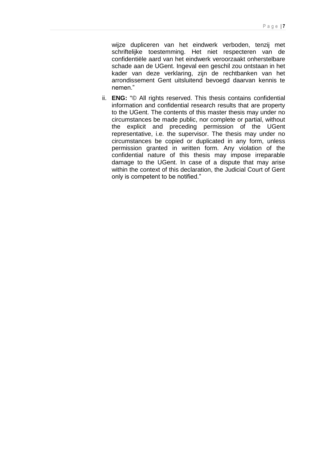wijze dupliceren van het eindwerk verboden, tenzij met schriftelijke toestemming. Het niet respecteren van de confidentiële aard van het eindwerk veroorzaakt onherstelbare schade aan de UGent. Ingeval een geschil zou ontstaan in het kader van deze verklaring, zijn de rechtbanken van het arrondissement Gent uitsluitend bevoegd daarvan kennis te nemen."

ii. **ENG:** "© All rights reserved. This thesis contains confidential information and confidential research results that are property to the UGent. The contents of this master thesis may under no circumstances be made public, nor complete or partial, without the explicit and preceding permission of the UGent representative, i.e. the supervisor. The thesis may under no circumstances be copied or duplicated in any form, unless permission granted in written form. Any violation of the confidential nature of this thesis may impose irreparable damage to the UGent. In case of a dispute that may arise within the context of this declaration, the Judicial Court of Gent only is competent to be notified."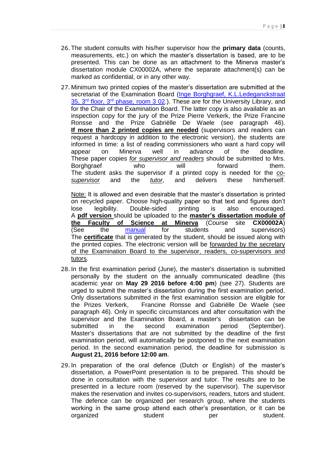- <span id="page-7-0"></span>26.The student consults with his/her supervisor how the **primary data** (counts, measurements, etc.) on which the master's dissertation is based, are to be presented. This can be done as an attachment to the Minerva master's dissertation module CX00002A, where the separate attachment(s) can be marked as confidential, or in any other way.
- <span id="page-7-1"></span>27. Minimum two printed copies of the master's dissertation are submitted at the secretariat of the Examination Board (Inge Borghgraef, K.L.Ledeganckstraat 35, 3<sup>rd</sup> floor, 3<sup>rd</sup> [phase, room 3 02.](https://soleway.ugent.be/routes/993)). These are for the University Library, and for the Chair of the Examination Board. The latter copy is also available as an inspection copy for the jury of the Prize Pierre Verkerk, the Prize Francine Ronsse and the Prize Gabriëlle De Waele (see paragraph [46\)](#page-10-0). **If more than 2 printed copies are needed** (supervisors and readers can request a hardcopy in addition to the electronic version), the students are informed in time: a list of reading commissioners who want a hard copy will appear on Minerva well in advance of the deadline. These paper copies *for supervisor and readers* should be submitted to Mrs. Borghgraef who will forward them. The student asks the supervisor if a printed copy is needed for the *cosupervisor* and the *tutor*, and delivers these him/herself.

Note: It is allowed and even desirable that the master's dissertation is printed on recycled paper. Choose high-quality paper so that text and figures don't lose legibility. Double-sided printing is also encouraged. A **pdf version** should be uploaded to the **master's dissertation module of the Faculty of Science at Minerva** (Course site **CX00002A**) (See the [manual](http://icto.ugent.be/en/manual/Minerva/Dissertation) for students and supervisors) The **certificate** that is generated by the student, should be issued along with the printed copies. The electronic version will be forwarded by the secretary of the Examination Board to the supervisor, readers, co-supervisors and tutors.

- <span id="page-7-2"></span>28.In the first examination period (June), the master's dissertation is submitted personally by the student on the annually communicated deadline (this academic year on **May 29 2016 before 4:00 pm**) (see [27\)](#page-7-1). Students are urged to submit the master's dissertation during the first examination period. Only dissertations submitted in the first examination session are eligible for the Prizes Verkerk, Francine Ronsse and Gabriëlle De Waele (see paragraph [46\)](#page-10-0). Only in specific circumstances and after consultation with the supervisor and the Examination Board, a master's dissertation can be submitted in the second examination period (September). Master's dissertations that are not submitted by the deadline of the first examination period, will automatically be postponed to the next examination period. In the second examination period, the deadline for submission is **August 21, 2016 before 12:00 am**.
- 29.In preparation of the oral defence (Dutch or English) of the master's dissertation, a PowerPoint presentation is to be prepared. This should be done in consultation with the supervisor and tutor. The results are to be presented in a lecture room (reserved by the supervisor). The supervisor makes the reservation and invites co-supervisors, readers, tutors and student. The defence can be organized per research group, where the students working in the same group attend each other's presentation, or it can be organized student per student.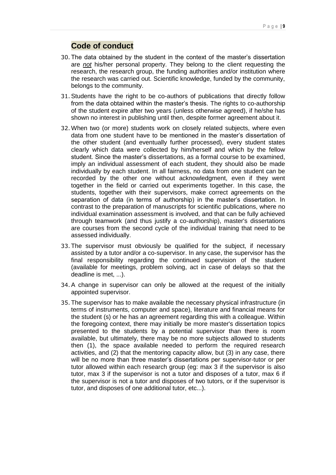### **Code of conduct**

- 30.The data obtained by the student in the context of the master's dissertation are *not* his/her personal property. They belong to the client requesting the research, the research group, the funding authorities and/or institution where the research was carried out. Scientific knowledge, funded by the community, belongs to the community.
- 31.Students have the right to be co-authors of publications that directly follow from the data obtained within the master's thesis. The rights to co-authorship of the student expire after two years (unless otherwise agreed), if he/she has shown no interest in publishing until then, despite former agreement about it.
- 32.When two (or more) students work on closely related subjects, where even data from one student have to be mentioned in the master's dissertation of the other student (and eventually further processed), every student states clearly which data were collected by him/herself and which by the fellow student. Since the master's dissertations, as a formal course to be examined, imply an individual assessment of each student, they should also be made individually by each student. In all fairness, no data from one student can be recorded by the other one without acknowledgment, even if they went together in the field or carried out experiments together. In this case, the students, together with their supervisors, make correct agreements on the separation of data (in terms of authorship) in the master's dissertation. In contrast to the preparation of manuscripts for scientific publications, where no individual examination assessment is involved, and that can be fully achieved through teamwork (and thus justify a co-authorship), master's dissertations are courses from the second cycle of the individual training that need to be assessed individually.
- 33.The supervisor must obviously be qualified for the subject, if necessary assisted by a tutor and/or a co-supervisor. In any case, the supervisor has the final responsibility regarding the continued supervision of the student (available for meetings, problem solving, act in case of delays so that the deadline is met, ...).
- 34.A change in supervisor can only be allowed at the request of the initially appointed supervisor.
- 35.The supervisor has to make available the necessary physical infrastructure (in terms of instruments, computer and space), literature and financial means for the student (s) or he has an agreement regarding this with a colleague. Within the foregoing context, there may initially be more master's dissertation topics presented to the students by a potential supervisor than there is room available, but ultimately, there may be no more subjects allowed to students then (1), the space available needed to perform the required research activities, and (2) that the mentoring capacity allow, but (3) in any case, there will be no more than three master's dissertations per supervisor-tutor or per tutor allowed within each research group (eg: max 3 if the supervisor is also tutor, max 3 if the supervisor is not a tutor and disposes of a tutor, max 6 if the supervisor is not a tutor and disposes of two tutors, or if the supervisor is tutor, and disposes of one additional tutor, etc...).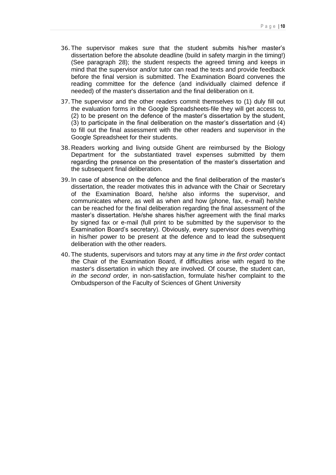- 36.The supervisor makes sure that the student submits his/her master's dissertation before the absolute deadline (build in safety margin in the timing!) (See paragraph [28\)](#page-7-2); the student respects the agreed timing and keeps in mind that the supervisor and/or tutor can read the texts and provide feedback before the final version is submitted. The Examination Board convenes the reading committee for the defence (and individually claimed defence if needed) of the master's dissertation and the final deliberation on it.
- <span id="page-9-0"></span>37.The supervisor and the other readers commit themselves to (1) duly fill out the evaluation forms in the Google Spreadsheets-file they will get access to, (2) to be present on the defence of the master's dissertation by the student, (3) to participate in the final deliberation on the master's dissertation and (4) to fill out the final assessment with the other readers and supervisor in the Google Spreadsheet for their students.
- 38. Readers working and living outside Ghent are reimbursed by the Biology Department for the substantiated travel expenses submitted by them regarding the presence on the presentation of the master's dissertation and the subsequent final deliberation.
- 39.In case of absence on the defence and the final deliberation of the master's dissertation, the reader motivates this in advance with the Chair or Secretary of the Examination Board, he/she also informs the supervisor, and communicates where, as well as when and how (phone, fax, e-mail) he/she can be reached for the final deliberation regarding the final assessment of the master's dissertation. He/she shares his/her agreement with the final marks by signed fax or e-mail (full print to be submitted by the supervisor to the Examination Board's secretary). Obviously, every supervisor does everything in his/her power to be present at the defence and to lead the subsequent deliberation with the other readers.
- 40.The students, supervisors and tutors may at any time *in the first order* contact the Chair of the Examination Board, if difficulties arise with regard to the master's dissertation in which they are involved. Of course, the student can, *in the second order,* in non-satisfaction, formulate his/her complaint to the Ombudsperson of the Faculty of Sciences of Ghent University